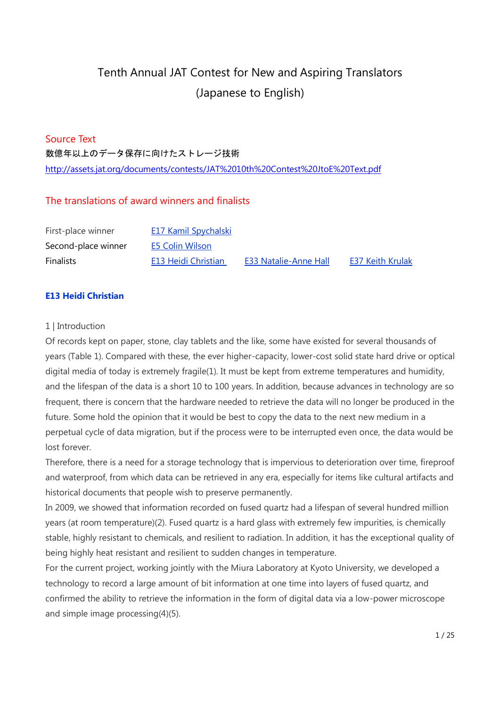# Tenth Annual JAT Contest for New and Aspiring Translators (Japanese to English)

# Source Text

数億年以上のデータ保存に向けたストレージ技術

<http://assets.jat.org/documents/contests/JAT%2010th%20Contest%20JtoE%20Text.pdf>

# The translations of award winners and finalists

| First-place winner  | E17 Kamil Spychalski       |                              |                         |
|---------------------|----------------------------|------------------------------|-------------------------|
| Second-place winner | <b>E5 Colin Wilson</b>     |                              |                         |
| <b>Finalists</b>    | <b>E13 Heidi Christian</b> | <b>E33 Natalie-Anne Hall</b> | <b>E37 Keith Krulak</b> |

# **E13 Heidi Christian**

# 1 | Introduction

Of records kept on paper, stone, clay tablets and the like, some have existed for several thousands of years (Table 1). Compared with these, the ever higher-capacity, lower-cost solid state hard drive or optical digital media of today is extremely fragile(1). It must be kept from extreme temperatures and humidity, and the lifespan of the data is a short 10 to 100 years. In addition, because advances in technology are so frequent, there is concern that the hardware needed to retrieve the data will no longer be produced in the future. Some hold the opinion that it would be best to copy the data to the next new medium in a perpetual cycle of data migration, but if the process were to be interrupted even once, the data would be lost forever.

Therefore, there is a need for a storage technology that is impervious to deterioration over time, fireproof and waterproof, from which data can be retrieved in any era, especially for items like cultural artifacts and historical documents that people wish to preserve permanently.

In 2009, we showed that information recorded on fused quartz had a lifespan of several hundred million years (at room temperature)(2). Fused quartz is a hard glass with extremely few impurities, is chemically stable, highly resistant to chemicals, and resilient to radiation. In addition, it has the exceptional quality of being highly heat resistant and resilient to sudden changes in temperature.

For the current project, working jointly with the Miura Laboratory at Kyoto University, we developed a technology to record a large amount of bit information at one time into layers of fused quartz, and confirmed the ability to retrieve the information in the form of digital data via a low-power microscope and simple image processing(4)(5).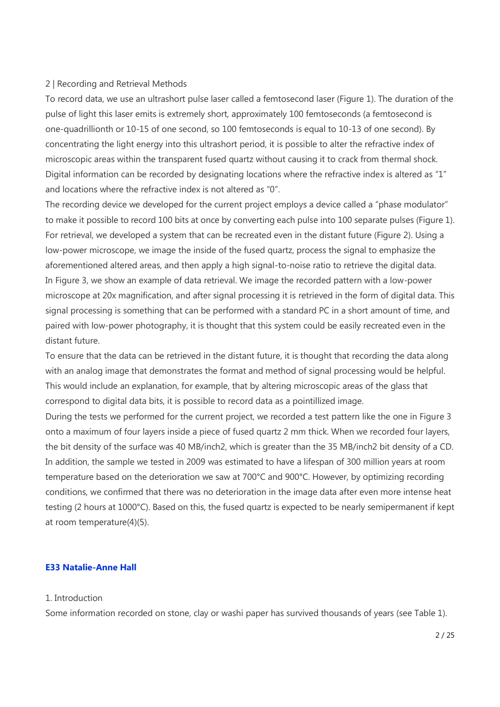### 2 | Recording and Retrieval Methods

To record data, we use an ultrashort pulse laser called a femtosecond laser (Figure 1). The duration of the pulse of light this laser emits is extremely short, approximately 100 femtoseconds (a femtosecond is one-quadrillionth or 10-15 of one second, so 100 femtoseconds is equal to 10-13 of one second). By concentrating the light energy into this ultrashort period, it is possible to alter the refractive index of microscopic areas within the transparent fused quartz without causing it to crack from thermal shock. Digital information can be recorded by designating locations where the refractive index is altered as "1" and locations where the refractive index is not altered as "0".

The recording device we developed for the current project employs a device called a "phase modulator" to make it possible to record 100 bits at once by converting each pulse into 100 separate pulses (Figure 1). For retrieval, we developed a system that can be recreated even in the distant future (Figure 2). Using a low-power microscope, we image the inside of the fused quartz, process the signal to emphasize the aforementioned altered areas, and then apply a high signal-to-noise ratio to retrieve the digital data. In Figure 3, we show an example of data retrieval. We image the recorded pattern with a low-power microscope at 20x magnification, and after signal processing it is retrieved in the form of digital data. This signal processing is something that can be performed with a standard PC in a short amount of time, and paired with low-power photography, it is thought that this system could be easily recreated even in the distant future.

To ensure that the data can be retrieved in the distant future, it is thought that recording the data along with an analog image that demonstrates the format and method of signal processing would be helpful. This would include an explanation, for example, that by altering microscopic areas of the glass that correspond to digital data bits, it is possible to record data as a pointillized image.

During the tests we performed for the current project, we recorded a test pattern like the one in Figure 3 onto a maximum of four layers inside a piece of fused quartz 2 mm thick. When we recorded four layers, the bit density of the surface was 40 MB/inch2, which is greater than the 35 MB/inch2 bit density of a CD. In addition, the sample we tested in 2009 was estimated to have a lifespan of 300 million years at room temperature based on the deterioration we saw at 700°C and 900°C. However, by optimizing recording conditions, we confirmed that there was no deterioration in the image data after even more intense heat testing (2 hours at 1000°C). Based on this, the fused quartz is expected to be nearly semipermanent if kept at room temperature(4)(5).

# **E33 Natalie-Anne Hall**

### 1. Introduction

Some information recorded on stone, clay or washi paper has survived thousands of years (see Table 1).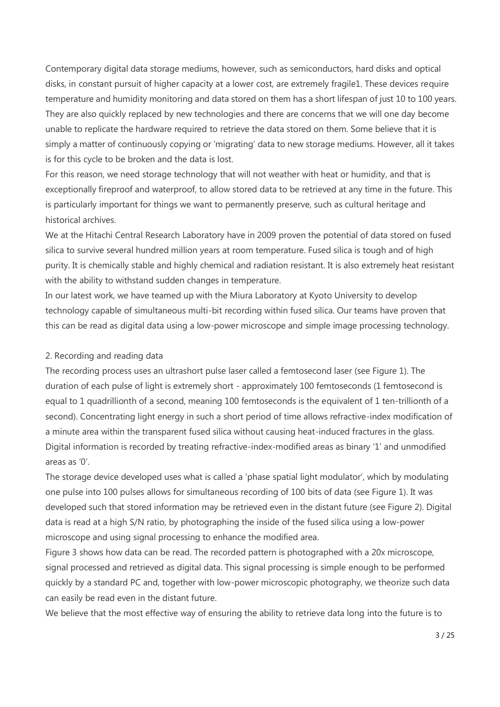Contemporary digital data storage mediums, however, such as semiconductors, hard disks and optical disks, in constant pursuit of higher capacity at a lower cost, are extremely fragile1. These devices require temperature and humidity monitoring and data stored on them has a short lifespan of just 10 to 100 years. They are also quickly replaced by new technologies and there are concerns that we will one day become unable to replicate the hardware required to retrieve the data stored on them. Some believe that it is simply a matter of continuously copying or 'migrating' data to new storage mediums. However, all it takes is for this cycle to be broken and the data is lost.

For this reason, we need storage technology that will not weather with heat or humidity, and that is exceptionally fireproof and waterproof, to allow stored data to be retrieved at any time in the future. This is particularly important for things we want to permanently preserve, such as cultural heritage and historical archives.

We at the Hitachi Central Research Laboratory have in 2009 proven the potential of data stored on fused silica to survive several hundred million years at room temperature. Fused silica is tough and of high purity. It is chemically stable and highly chemical and radiation resistant. It is also extremely heat resistant with the ability to withstand sudden changes in temperature.

In our latest work, we have teamed up with the Miura Laboratory at Kyoto University to develop technology capable of simultaneous multi-bit recording within fused silica. Our teams have proven that this can be read as digital data using a low-power microscope and simple image processing technology.

# 2. Recording and reading data

The recording process uses an ultrashort pulse laser called a femtosecond laser (see Figure 1). The duration of each pulse of light is extremely short - approximately 100 femtoseconds (1 femtosecond is equal to 1 quadrillionth of a second, meaning 100 femtoseconds is the equivalent of 1 ten-trillionth of a second). Concentrating light energy in such a short period of time allows refractive-index modification of a minute area within the transparent fused silica without causing heat-induced fractures in the glass. Digital information is recorded by treating refractive-index-modified areas as binary '1' and unmodified areas as '0'.

The storage device developed uses what is called a 'phase spatial light modulator', which by modulating one pulse into 100 pulses allows for simultaneous recording of 100 bits of data (see Figure 1). It was developed such that stored information may be retrieved even in the distant future (see Figure 2). Digital data is read at a high S/N ratio, by photographing the inside of the fused silica using a low-power microscope and using signal processing to enhance the modified area.

Figure 3 shows how data can be read. The recorded pattern is photographed with a 20x microscope, signal processed and retrieved as digital data. This signal processing is simple enough to be performed quickly by a standard PC and, together with low-power microscopic photography, we theorize such data can easily be read even in the distant future.

We believe that the most effective way of ensuring the ability to retrieve data long into the future is to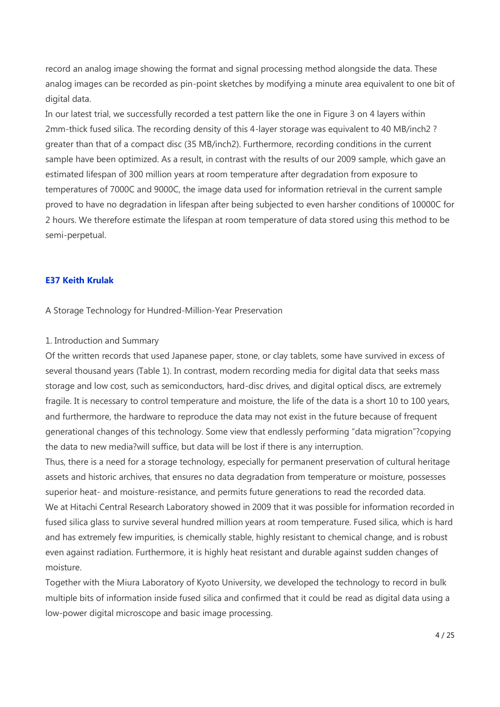record an analog image showing the format and signal processing method alongside the data. These analog images can be recorded as pin-point sketches by modifying a minute area equivalent to one bit of digital data.

In our latest trial, we successfully recorded a test pattern like the one in Figure 3 on 4 layers within 2mm-thick fused silica. The recording density of this 4-layer storage was equivalent to 40 MB/inch2 ? greater than that of a compact disc (35 MB/inch2). Furthermore, recording conditions in the current sample have been optimized. As a result, in contrast with the results of our 2009 sample, which gave an estimated lifespan of 300 million years at room temperature after degradation from exposure to temperatures of 7000C and 9000C, the image data used for information retrieval in the current sample proved to have no degradation in lifespan after being subjected to even harsher conditions of 10000C for 2 hours. We therefore estimate the lifespan at room temperature of data stored using this method to be semi-perpetual.

# **E37 Keith Krulak**

A Storage Technology for Hundred-Million-Year Preservation

### 1. Introduction and Summary

Of the written records that used Japanese paper, stone, or clay tablets, some have survived in excess of several thousand years (Table 1). In contrast, modern recording media for digital data that seeks mass storage and low cost, such as semiconductors, hard-disc drives, and digital optical discs, are extremely fragile. It is necessary to control temperature and moisture, the life of the data is a short 10 to 100 years, and furthermore, the hardware to reproduce the data may not exist in the future because of frequent generational changes of this technology. Some view that endlessly performing "data migration"?copying the data to new media?will suffice, but data will be lost if there is any interruption.

Thus, there is a need for a storage technology, especially for permanent preservation of cultural heritage assets and historic archives, that ensures no data degradation from temperature or moisture, possesses superior heat- and moisture-resistance, and permits future generations to read the recorded data. We at Hitachi Central Research Laboratory showed in 2009 that it was possible for information recorded in fused silica glass to survive several hundred million years at room temperature. Fused silica, which is hard and has extremely few impurities, is chemically stable, highly resistant to chemical change, and is robust even against radiation. Furthermore, it is highly heat resistant and durable against sudden changes of moisture.

Together with the Miura Laboratory of Kyoto University, we developed the technology to record in bulk multiple bits of information inside fused silica and confirmed that it could be read as digital data using a low-power digital microscope and basic image processing.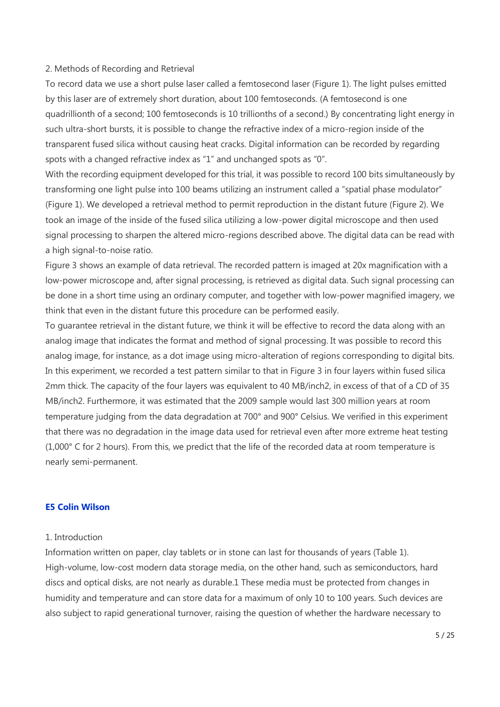### 2. Methods of Recording and Retrieval

To record data we use a short pulse laser called a femtosecond laser (Figure 1). The light pulses emitted by this laser are of extremely short duration, about 100 femtoseconds. (A femtosecond is one quadrillionth of a second; 100 femtoseconds is 10 trillionths of a second.) By concentrating light energy in such ultra-short bursts, it is possible to change the refractive index of a micro-region inside of the transparent fused silica without causing heat cracks. Digital information can be recorded by regarding spots with a changed refractive index as "1" and unchanged spots as "0".

With the recording equipment developed for this trial, it was possible to record 100 bits simultaneously by transforming one light pulse into 100 beams utilizing an instrument called a "spatial phase modulator" (Figure 1). We developed a retrieval method to permit reproduction in the distant future (Figure 2). We took an image of the inside of the fused silica utilizing a low-power digital microscope and then used signal processing to sharpen the altered micro-regions described above. The digital data can be read with a high signal-to-noise ratio.

Figure 3 shows an example of data retrieval. The recorded pattern is imaged at 20x magnification with a low-power microscope and, after signal processing, is retrieved as digital data. Such signal processing can be done in a short time using an ordinary computer, and together with low-power magnified imagery, we think that even in the distant future this procedure can be performed easily.

To guarantee retrieval in the distant future, we think it will be effective to record the data along with an analog image that indicates the format and method of signal processing. It was possible to record this analog image, for instance, as a dot image using micro-alteration of regions corresponding to digital bits. In this experiment, we recorded a test pattern similar to that in Figure 3 in four layers within fused silica 2mm thick. The capacity of the four layers was equivalent to 40 MB/inch2, in excess of that of a CD of 35 MB/inch2. Furthermore, it was estimated that the 2009 sample would last 300 million years at room temperature judging from the data degradation at 700° and 900° Celsius. We verified in this experiment that there was no degradation in the image data used for retrieval even after more extreme heat testing (1,000° C for 2 hours). From this, we predict that the life of the recorded data at room temperature is nearly semi-permanent.

### **E5 Colin Wilson**

### 1. Introduction

Information written on paper, clay tablets or in stone can last for thousands of years (Table 1). High-volume, low-cost modern data storage media, on the other hand, such as semiconductors, hard discs and optical disks, are not nearly as durable.1 These media must be protected from changes in humidity and temperature and can store data for a maximum of only 10 to 100 years. Such devices are also subject to rapid generational turnover, raising the question of whether the hardware necessary to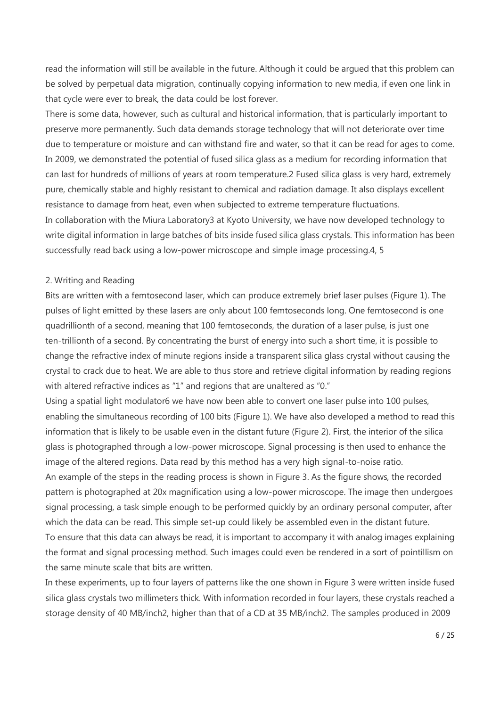read the information will still be available in the future. Although it could be argued that this problem can be solved by perpetual data migration, continually copying information to new media, if even one link in that cycle were ever to break, the data could be lost forever.

There is some data, however, such as cultural and historical information, that is particularly important to preserve more permanently. Such data demands storage technology that will not deteriorate over time due to temperature or moisture and can withstand fire and water, so that it can be read for ages to come. In 2009, we demonstrated the potential of fused silica glass as a medium for recording information that can last for hundreds of millions of years at room temperature.2 Fused silica glass is very hard, extremely pure, chemically stable and highly resistant to chemical and radiation damage. It also displays excellent resistance to damage from heat, even when subjected to extreme temperature fluctuations. In collaboration with the Miura Laboratory3 at Kyoto University, we have now developed technology to write digital information in large batches of bits inside fused silica glass crystals. This information has been successfully read back using a low-power microscope and simple image processing.4, 5

### 2. Writing and Reading

Bits are written with a femtosecond laser, which can produce extremely brief laser pulses (Figure 1). The pulses of light emitted by these lasers are only about 100 femtoseconds long. One femtosecond is one quadrillionth of a second, meaning that 100 femtoseconds, the duration of a laser pulse, is just one ten-trillionth of a second. By concentrating the burst of energy into such a short time, it is possible to change the refractive index of minute regions inside a transparent silica glass crystal without causing the crystal to crack due to heat. We are able to thus store and retrieve digital information by reading regions with altered refractive indices as "1" and regions that are unaltered as "0."

Using a spatial light modulator6 we have now been able to convert one laser pulse into 100 pulses, enabling the simultaneous recording of 100 bits (Figure 1). We have also developed a method to read this information that is likely to be usable even in the distant future (Figure 2). First, the interior of the silica glass is photographed through a low-power microscope. Signal processing is then used to enhance the image of the altered regions. Data read by this method has a very high signal-to-noise ratio.

An example of the steps in the reading process is shown in Figure 3. As the figure shows, the recorded pattern is photographed at 20x magnification using a low-power microscope. The image then undergoes signal processing, a task simple enough to be performed quickly by an ordinary personal computer, after which the data can be read. This simple set-up could likely be assembled even in the distant future.

To ensure that this data can always be read, it is important to accompany it with analog images explaining the format and signal processing method. Such images could even be rendered in a sort of pointillism on the same minute scale that bits are written.

In these experiments, up to four layers of patterns like the one shown in Figure 3 were written inside fused silica glass crystals two millimeters thick. With information recorded in four layers, these crystals reached a storage density of 40 MB/inch2, higher than that of a CD at 35 MB/inch2. The samples produced in 2009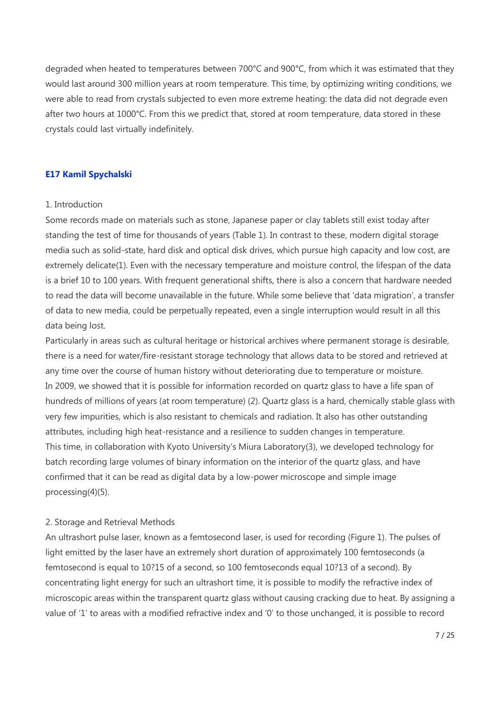degraded when heated to temperatures between 700°C and 900°C, from which it was estimated that they would last around 300 million years at room temperature. This time, by optimizing writing conditions, we were able to read from crystals subjected to even more extreme heating: the data did not degrade even after two hours at 1000°C. From this we predict that, stored at room temperature, data stored in these crystals could last virtually indefinitely.

### **E17 Kamil Spychalski**

### 1. Introduction

Some records made on materials such as stone, Japanese paper or clay tablets still exist today after standing the test of time for thousands of years (Table 1). In contrast to these, modern digital storage media such as solid-state, hard disk and optical disk drives, which pursue high capacity and low cost, are extremely delicate(1). Even with the necessary temperature and moisture control, the lifespan of the data is a brief 10 to 100 years. With frequent generational shifts, there is also a concern that hardware needed to read the data will become unavailable in the future. While some believe that 'data migration', a transfer of data to new media, could be perpetually repeated, even a single interruption would result in all this data being lost.

Particularly in areas such as cultural heritage or historical archives where permanent storage is desirable, there is a need for water/fire-resistant storage technology that allows data to be stored and retrieved at any time over the course of human history without deteriorating due to temperature or moisture. In 2009, we showed that it is possible for information recorded on quartz glass to have a life span of hundreds of millions of years (at room temperature) (2). Quartz glass is a hard, chemically stable glass with very few impurities, which is also resistant to chemicals and radiation. It also has other outstanding attributes, including high heat-resistance and a resilience to sudden changes in temperature. This time, in collaboration with Kyoto University's Miura Laboratory(3), we developed technology for batch recording large volumes of binary information on the interior of the quartz glass, and have confirmed that it can be read as digital data by a low-power microscope and simple image processing(4)(5).

### 2. Storage and Retrieval Methods

An ultrashort pulse laser, known as a femtosecond laser, is used for recording (Figure 1). The pulses of light emitted by the laser have an extremely short duration of approximately 100 femtoseconds (a femtosecond is equal to 10?15 of a second, so 100 femtoseconds equal 10?13 of a second). By concentrating light energy for such an ultrashort time, it is possible to modify the refractive index of microscopic areas within the transparent quartz glass without causing cracking due to heat. By assigning a value of '1' to areas with a modified refractive index and '0' to those unchanged, it is possible to record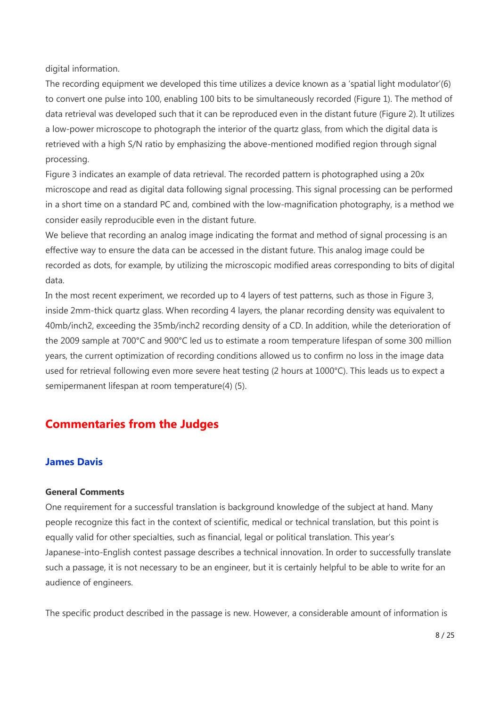digital information.

The recording equipment we developed this time utilizes a device known as a 'spatial light modulator'(6) to convert one pulse into 100, enabling 100 bits to be simultaneously recorded (Figure 1). The method of data retrieval was developed such that it can be reproduced even in the distant future (Figure 2). It utilizes a low-power microscope to photograph the interior of the quartz glass, from which the digital data is retrieved with a high S/N ratio by emphasizing the above-mentioned modified region through signal processing.

Figure 3 indicates an example of data retrieval. The recorded pattern is photographed using a 20x microscope and read as digital data following signal processing. This signal processing can be performed in a short time on a standard PC and, combined with the low-magnification photography, is a method we consider easily reproducible even in the distant future.

We believe that recording an analog image indicating the format and method of signal processing is an effective way to ensure the data can be accessed in the distant future. This analog image could be recorded as dots, for example, by utilizing the microscopic modified areas corresponding to bits of digital data.

In the most recent experiment, we recorded up to 4 layers of test patterns, such as those in Figure 3, inside 2mm-thick quartz glass. When recording 4 layers, the planar recording density was equivalent to 40mb/inch2, exceeding the 35mb/inch2 recording density of a CD. In addition, while the deterioration of the 2009 sample at 700°C and 900°C led us to estimate a room temperature lifespan of some 300 million years, the current optimization of recording conditions allowed us to confirm no loss in the image data used for retrieval following even more severe heat testing (2 hours at 1000°C). This leads us to expect a semipermanent lifespan at room temperature(4) (5).

# **Commentaries from the Judges**

# **James Davis**

### **General Comments**

One requirement for a successful translation is background knowledge of the subject at hand. Many people recognize this fact in the context of scientific, medical or technical translation, but this point is equally valid for other specialties, such as financial, legal or political translation. This year's Japanese-into-English contest passage describes a technical innovation. In order to successfully translate such a passage, it is not necessary to be an engineer, but it is certainly helpful to be able to write for an audience of engineers.

The specific product described in the passage is new. However, a considerable amount of information is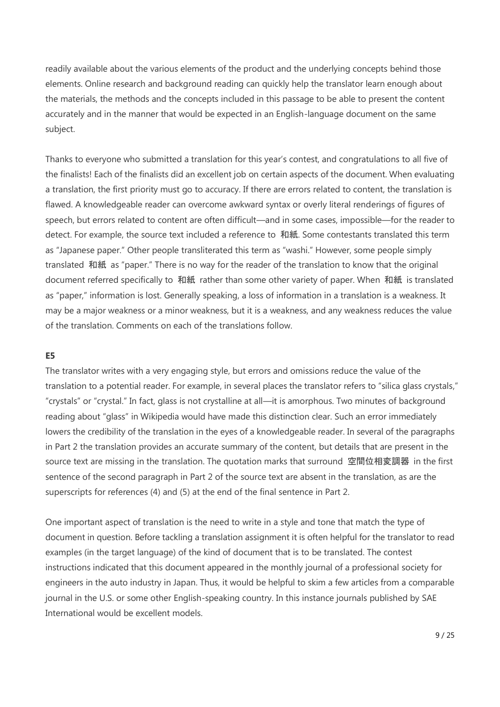readily available about the various elements of the product and the underlying concepts behind those elements. Online research and background reading can quickly help the translator learn enough about the materials, the methods and the concepts included in this passage to be able to present the content accurately and in the manner that would be expected in an English-language document on the same subject.

Thanks to everyone who submitted a translation for this year's contest, and congratulations to all five of the finalists! Each of the finalists did an excellent job on certain aspects of the document. When evaluating a translation, the first priority must go to accuracy. If there are errors related to content, the translation is flawed. A knowledgeable reader can overcome awkward syntax or overly literal renderings of figures of speech, but errors related to content are often difficult—and in some cases, impossible—for the reader to detect. For example, the source text included a reference to 和紙. Some contestants translated this term as "Japanese paper." Other people transliterated this term as "washi." However, some people simply translated 和紙 as "paper." There is no way for the reader of the translation to know that the original document referred specifically to 和紙 rather than some other variety of paper. When 和紙 is translated as "paper," information is lost. Generally speaking, a loss of information in a translation is a weakness. It may be a major weakness or a minor weakness, but it is a weakness, and any weakness reduces the value of the translation. Comments on each of the translations follow.

### **E5**

The translator writes with a very engaging style, but errors and omissions reduce the value of the translation to a potential reader. For example, in several places the translator refers to "silica glass crystals," "crystals" or "crystal." In fact, glass is not crystalline at all—it is amorphous. Two minutes of background reading about "glass" in Wikipedia would have made this distinction clear. Such an error immediately lowers the credibility of the translation in the eyes of a knowledgeable reader. In several of the paragraphs in Part 2 the translation provides an accurate summary of the content, but details that are present in the source text are missing in the translation. The quotation marks that surround 空間位相変調器 in the first sentence of the second paragraph in Part 2 of the source text are absent in the translation, as are the superscripts for references (4) and (5) at the end of the final sentence in Part 2.

One important aspect of translation is the need to write in a style and tone that match the type of document in question. Before tackling a translation assignment it is often helpful for the translator to read examples (in the target language) of the kind of document that is to be translated. The contest instructions indicated that this document appeared in the monthly journal of a professional society for engineers in the auto industry in Japan. Thus, it would be helpful to skim a few articles from a comparable journal in the U.S. or some other English-speaking country. In this instance journals published by SAE International would be excellent models.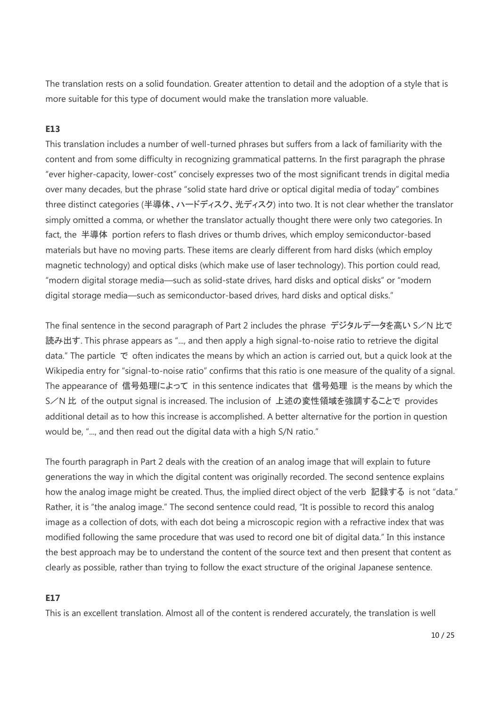The translation rests on a solid foundation. Greater attention to detail and the adoption of a style that is more suitable for this type of document would make the translation more valuable.

# **E13**

This translation includes a number of well-turned phrases but suffers from a lack of familiarity with the content and from some difficulty in recognizing grammatical patterns. In the first paragraph the phrase "ever higher-capacity, lower-cost" concisely expresses two of the most significant trends in digital media over many decades, but the phrase "solid state hard drive or optical digital media of today" combines three distinct categories (半導体、ハードディスク、光ディスク) into two. It is not clear whether the translator simply omitted a comma, or whether the translator actually thought there were only two categories. In fact, the 半導体 portion refers to flash drives or thumb drives, which employ semiconductor-based materials but have no moving parts. These items are clearly different from hard disks (which employ magnetic technology) and optical disks (which make use of laser technology). This portion could read, "modern digital storage media—such as solid-state drives, hard disks and optical disks" or "modern digital storage media—such as semiconductor-based drives, hard disks and optical disks."

The final sentence in the second paragraph of Part 2 includes the phrase デジタルデータを高い S/N 比で 読み出す. This phrase appears as "..., and then apply a high signal-to-noise ratio to retrieve the digital data." The particle で often indicates the means by which an action is carried out, but a quick look at the Wikipedia entry for "signal-to-noise ratio" confirms that this ratio is one measure of the quality of a signal. The appearance of 信号処理によって in this sentence indicates that 信号処理 is the means by which the S/N 比 of the output signal is increased. The inclusion of 上述の変性領域を強調することで provides additional detail as to how this increase is accomplished. A better alternative for the portion in question would be, "..., and then read out the digital data with a high S/N ratio."

The fourth paragraph in Part 2 deals with the creation of an analog image that will explain to future generations the way in which the digital content was originally recorded. The second sentence explains how the analog image might be created. Thus, the implied direct object of the verb 記録する is not "data." Rather, it is "the analog image." The second sentence could read, "It is possible to record this analog image as a collection of dots, with each dot being a microscopic region with a refractive index that was modified following the same procedure that was used to record one bit of digital data." In this instance the best approach may be to understand the content of the source text and then present that content as clearly as possible, rather than trying to follow the exact structure of the original Japanese sentence.

# **E17**

This is an excellent translation. Almost all of the content is rendered accurately, the translation is well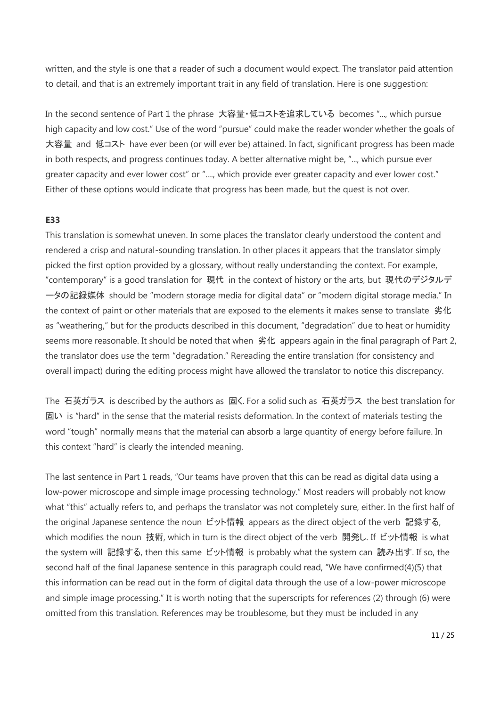written, and the style is one that a reader of such a document would expect. The translator paid attention to detail, and that is an extremely important trait in any field of translation. Here is one suggestion:

In the second sentence of Part 1 the phrase 大容量・低コストを追求している becomes "..., which pursue high capacity and low cost." Use of the word "pursue" could make the reader wonder whether the goals of 大容量 and 低コスト have ever been (or will ever be) attained. In fact, significant progress has been made in both respects, and progress continues today. A better alternative might be, "..., which pursue ever greater capacity and ever lower cost" or "...., which provide ever greater capacity and ever lower cost." Either of these options would indicate that progress has been made, but the quest is not over.

# **E33**

This translation is somewhat uneven. In some places the translator clearly understood the content and rendered a crisp and natural-sounding translation. In other places it appears that the translator simply picked the first option provided by a glossary, without really understanding the context. For example, "contemporary" is a good translation for 現代 in the context of history or the arts, but 現代のデジタルデ ータの記録媒体 should be "modern storage media for digital data" or "modern digital storage media." In the context of paint or other materials that are exposed to the elements it makes sense to translate 劣化 as "weathering," but for the products described in this document, "degradation" due to heat or humidity seems more reasonable. It should be noted that when 劣化 appears again in the final paragraph of Part 2, the translator does use the term "degradation." Rereading the entire translation (for consistency and overall impact) during the editing process might have allowed the translator to notice this discrepancy.

The 石英ガラス is described by the authors as 固く. For a solid such as 石英ガラス the best translation for 固い is "hard" in the sense that the material resists deformation. In the context of materials testing the word "tough" normally means that the material can absorb a large quantity of energy before failure. In this context "hard" is clearly the intended meaning.

The last sentence in Part 1 reads, "Our teams have proven that this can be read as digital data using a low-power microscope and simple image processing technology." Most readers will probably not know what "this" actually refers to, and perhaps the translator was not completely sure, either. In the first half of the original Japanese sentence the noun ビット情報 appears as the direct object of the verb 記録する, which modifies the noun 技術, which in turn is the direct object of the verb 開発し. If ビット情報 is what the system will 記録する, then this same ビット情報 is probably what the system can 読み出す. If so, the second half of the final Japanese sentence in this paragraph could read, "We have confirmed(4)(5) that this information can be read out in the form of digital data through the use of a low-power microscope and simple image processing." It is worth noting that the superscripts for references (2) through (6) were omitted from this translation. References may be troublesome, but they must be included in any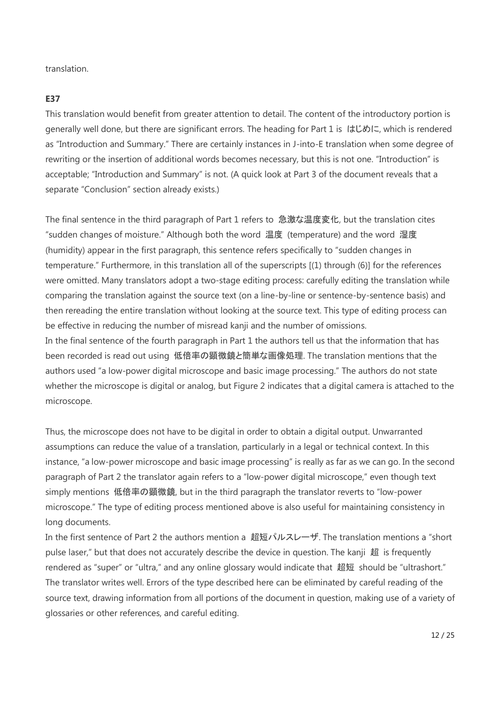translation.

## **E37**

This translation would benefit from greater attention to detail. The content of the introductory portion is generally well done, but there are significant errors. The heading for Part 1 is はじめに, which is rendered as "Introduction and Summary." There are certainly instances in J-into-E translation when some degree of rewriting or the insertion of additional words becomes necessary, but this is not one. "Introduction" is acceptable; "Introduction and Summary" is not. (A quick look at Part 3 of the document reveals that a separate "Conclusion" section already exists.)

The final sentence in the third paragraph of Part 1 refers to 急激な温度変化, but the translation cites "sudden changes of moisture." Although both the word 温度 (temperature) and the word 湿度 (humidity) appear in the first paragraph, this sentence refers specifically to "sudden changes in temperature." Furthermore, in this translation all of the superscripts [(1) through (6)] for the references were omitted. Many translators adopt a two-stage editing process: carefully editing the translation while comparing the translation against the source text (on a line-by-line or sentence-by-sentence basis) and then rereading the entire translation without looking at the source text. This type of editing process can be effective in reducing the number of misread kanji and the number of omissions. In the final sentence of the fourth paragraph in Part 1 the authors tell us that the information that has been recorded is read out using 低倍率の顕微鏡と簡単な画像処理. The translation mentions that the authors used "a low-power digital microscope and basic image processing." The authors do not state whether the microscope is digital or analog, but Figure 2 indicates that a digital camera is attached to the microscope.

Thus, the microscope does not have to be digital in order to obtain a digital output. Unwarranted assumptions can reduce the value of a translation, particularly in a legal or technical context. In this instance, "a low-power microscope and basic image processing" is really as far as we can go. In the second paragraph of Part 2 the translator again refers to a "low-power digital microscope," even though text simply mentions 低倍率の顕微鏡, but in the third paragraph the translator reverts to "low-power microscope." The type of editing process mentioned above is also useful for maintaining consistency in long documents.

In the first sentence of Part 2 the authors mention a 超短パルスレーザ. The translation mentions a "short pulse laser," but that does not accurately describe the device in question. The kanji 超 is frequently rendered as "super" or "ultra," and any online glossary would indicate that 超短 should be "ultrashort." The translator writes well. Errors of the type described here can be eliminated by careful reading of the source text, drawing information from all portions of the document in question, making use of a variety of glossaries or other references, and careful editing.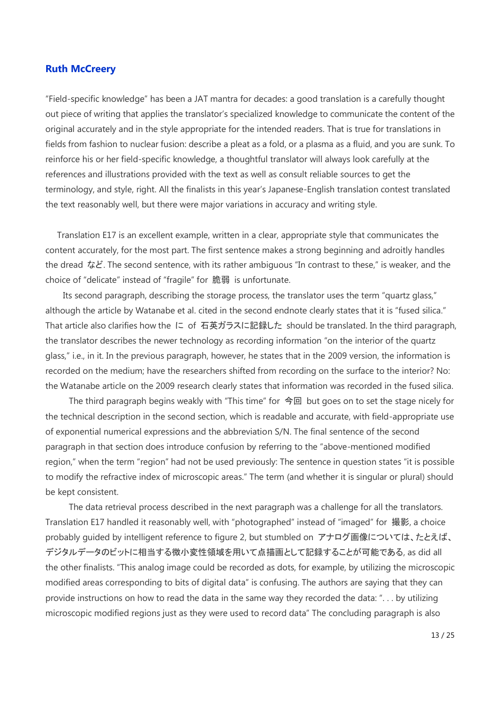# **Ruth McCreery**

"Field-specific knowledge" has been a JAT mantra for decades: a good translation is a carefully thought out piece of writing that applies the translator's specialized knowledge to communicate the content of the original accurately and in the style appropriate for the intended readers. That is true for translations in fields from fashion to nuclear fusion: describe a pleat as a fold, or a plasma as a fluid, and you are sunk. To reinforce his or her field-specific knowledge, a thoughtful translator will always look carefully at the references and illustrations provided with the text as well as consult reliable sources to get the terminology, and style, right. All the finalists in this year's Japanese-English translation contest translated the text reasonably well, but there were major variations in accuracy and writing style.

 Translation E17 is an excellent example, written in a clear, appropriate style that communicates the content accurately, for the most part. The first sentence makes a strong beginning and adroitly handles the dread など. The second sentence, with its rather ambiguous "In contrast to these," is weaker, and the choice of "delicate" instead of "fragile" for 脆弱 is unfortunate.

 Its second paragraph, describing the storage process, the translator uses the term "quartz glass," although the article by Watanabe et al. cited in the second endnote clearly states that it is "fused silica." That article also clarifies how the に of 石英ガラスに記録した should be translated. In the third paragraph, the translator describes the newer technology as recording information "on the interior of the quartz glass," i.e., in it. In the previous paragraph, however, he states that in the 2009 version, the information is recorded on the medium; have the researchers shifted from recording on the surface to the interior? No: the Watanabe article on the 2009 research clearly states that information was recorded in the fused silica.

 The third paragraph begins weakly with "This time" for 今回 but goes on to set the stage nicely for the technical description in the second section, which is readable and accurate, with field-appropriate use of exponential numerical expressions and the abbreviation S/N. The final sentence of the second paragraph in that section does introduce confusion by referring to the "above-mentioned modified region," when the term "region" had not be used previously: The sentence in question states "it is possible to modify the refractive index of microscopic areas." The term (and whether it is singular or plural) should be kept consistent.

 The data retrieval process described in the next paragraph was a challenge for all the translators. Translation E17 handled it reasonably well, with "photographed" instead of "imaged" for 撮影, a choice probably guided by intelligent reference to figure 2, but stumbled on アナログ画像については、たとえば、 デジタルデータのビットに相当する微小変性領域を用いて点描画として記録することが可能である, as did all the other finalists. "This analog image could be recorded as dots, for example, by utilizing the microscopic modified areas corresponding to bits of digital data" is confusing. The authors are saying that they can provide instructions on how to read the data in the same way they recorded the data: ". . . by utilizing microscopic modified regions just as they were used to record data" The concluding paragraph is also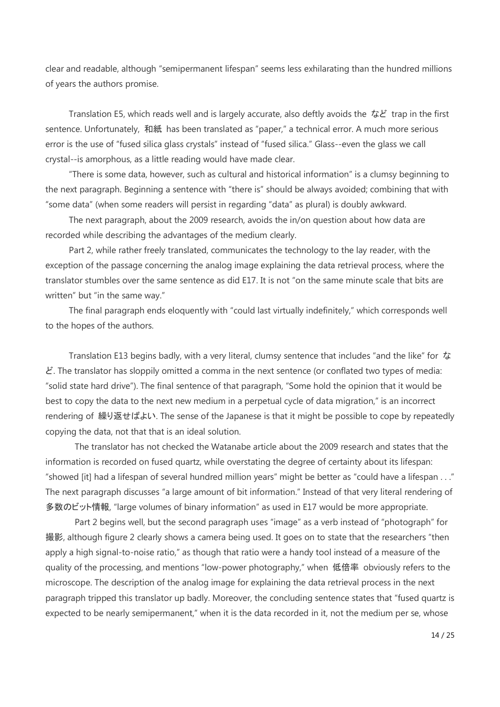clear and readable, although "semipermanent lifespan" seems less exhilarating than the hundred millions of years the authors promise.

Translation E5, which reads well and is largely accurate, also deftly avoids the など trap in the first sentence. Unfortunately, 和紙 has been translated as "paper," a technical error. A much more serious error is the use of "fused silica glass crystals" instead of "fused silica." Glass--even the glass we call crystal--is amorphous, as a little reading would have made clear.

 "There is some data, however, such as cultural and historical information" is a clumsy beginning to the next paragraph. Beginning a sentence with "there is" should be always avoided; combining that with "some data" (when some readers will persist in regarding "data" as plural) is doubly awkward.

 The next paragraph, about the 2009 research, avoids the in/on question about how data are recorded while describing the advantages of the medium clearly.

 Part 2, while rather freely translated, communicates the technology to the lay reader, with the exception of the passage concerning the analog image explaining the data retrieval process, where the translator stumbles over the same sentence as did E17. It is not "on the same minute scale that bits are written" but "in the same way."

 The final paragraph ends eloquently with "could last virtually indefinitely," which corresponds well to the hopes of the authors.

Translation E13 begins badly, with a very literal, clumsy sentence that includes "and the like" for  $\dot{\mathcal{L}}$  $\mathcal{E}$ . The translator has sloppily omitted a comma in the next sentence (or conflated two types of media: "solid state hard drive"). The final sentence of that paragraph, "Some hold the opinion that it would be best to copy the data to the next new medium in a perpetual cycle of data migration," is an incorrect rendering of 繰り返せばよい. The sense of the Japanese is that it might be possible to cope by repeatedly copying the data, not that that is an ideal solution.

 The translator has not checked the Watanabe article about the 2009 research and states that the information is recorded on fused quartz, while overstating the degree of certainty about its lifespan: "showed [it] had a lifespan of several hundred million years" might be better as "could have a lifespan . . ." The next paragraph discusses "a large amount of bit information." Instead of that very literal rendering of 多数のビット情報, "large volumes of binary information" as used in E17 would be more appropriate.

 Part 2 begins well, but the second paragraph uses "image" as a verb instead of "photograph" for 撮影, although figure 2 clearly shows a camera being used. It goes on to state that the researchers "then apply a high signal-to-noise ratio," as though that ratio were a handy tool instead of a measure of the quality of the processing, and mentions "low-power photography," when 低倍率 obviously refers to the microscope. The description of the analog image for explaining the data retrieval process in the next paragraph tripped this translator up badly. Moreover, the concluding sentence states that "fused quartz is expected to be nearly semipermanent," when it is the data recorded in it, not the medium per se, whose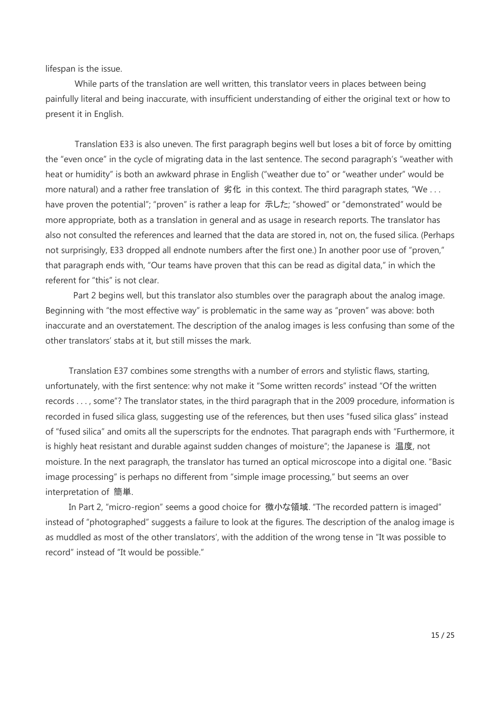lifespan is the issue.

 While parts of the translation are well written, this translator veers in places between being painfully literal and being inaccurate, with insufficient understanding of either the original text or how to present it in English.

 Translation E33 is also uneven. The first paragraph begins well but loses a bit of force by omitting the "even once" in the cycle of migrating data in the last sentence. The second paragraph's "weather with heat or humidity" is both an awkward phrase in English ("weather due to" or "weather under" would be more natural) and a rather free translation of 劣化 in this context. The third paragraph states, "We ... have proven the potential"; "proven" is rather a leap for 示した; "showed" or "demonstrated" would be more appropriate, both as a translation in general and as usage in research reports. The translator has also not consulted the references and learned that the data are stored in, not on, the fused silica. (Perhaps not surprisingly, E33 dropped all endnote numbers after the first one.) In another poor use of "proven," that paragraph ends with, "Our teams have proven that this can be read as digital data," in which the referent for "this" is not clear.

 Part 2 begins well, but this translator also stumbles over the paragraph about the analog image. Beginning with "the most effective way" is problematic in the same way as "proven" was above: both inaccurate and an overstatement. The description of the analog images is less confusing than some of the other translators' stabs at it, but still misses the mark.

 Translation E37 combines some strengths with a number of errors and stylistic flaws, starting, unfortunately, with the first sentence: why not make it "Some written records" instead "Of the written records . . . , some"? The translator states, in the third paragraph that in the 2009 procedure, information is recorded in fused silica glass, suggesting use of the references, but then uses "fused silica glass" instead of "fused silica" and omits all the superscripts for the endnotes. That paragraph ends with "Furthermore, it is highly heat resistant and durable against sudden changes of moisture"; the Japanese is 温度, not moisture. In the next paragraph, the translator has turned an optical microscope into a digital one. "Basic image processing" is perhaps no different from "simple image processing," but seems an over interpretation of 簡単.

 In Part 2, "micro-region" seems a good choice for 微小な領域. "The recorded pattern is imaged" instead of "photographed" suggests a failure to look at the figures. The description of the analog image is as muddled as most of the other translators', with the addition of the wrong tense in "It was possible to record" instead of "It would be possible."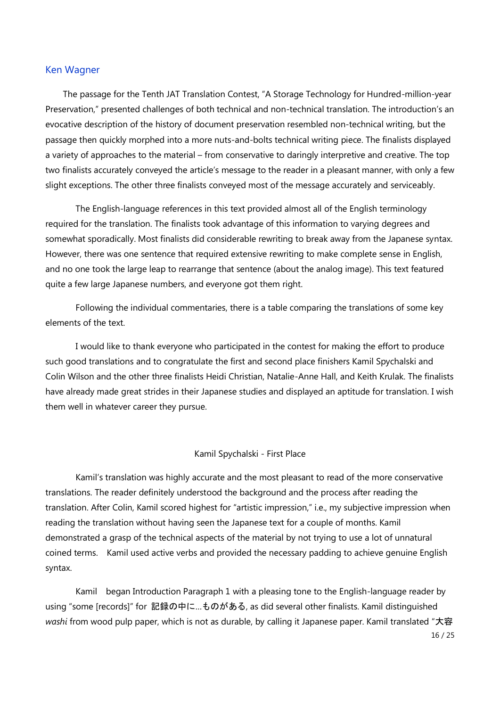# Ken Wagner

The passage for the Tenth JAT Translation Contest, "A Storage Technology for Hundred-million-year Preservation," presented challenges of both technical and non-technical translation. The introduction's an evocative description of the history of document preservation resembled non-technical writing, but the passage then quickly morphed into a more nuts-and-bolts technical writing piece. The finalists displayed a variety of approaches to the material – from conservative to daringly interpretive and creative. The top two finalists accurately conveyed the article's message to the reader in a pleasant manner, with only a few slight exceptions. The other three finalists conveyed most of the message accurately and serviceably.

The English-language references in this text provided almost all of the English terminology required for the translation. The finalists took advantage of this information to varying degrees and somewhat sporadically. Most finalists did considerable rewriting to break away from the Japanese syntax. However, there was one sentence that required extensive rewriting to make complete sense in English, and no one took the large leap to rearrange that sentence (about the analog image). This text featured quite a few large Japanese numbers, and everyone got them right.

Following the individual commentaries, there is a table comparing the translations of some key elements of the text.

I would like to thank everyone who participated in the contest for making the effort to produce such good translations and to congratulate the first and second place finishers Kamil Spychalski and Colin Wilson and the other three finalists Heidi Christian, Natalie-Anne Hall, and Keith Krulak. The finalists have already made great strides in their Japanese studies and displayed an aptitude for translation. I wish them well in whatever career they pursue.

### Kamil Spychalski - First Place

Kamil's translation was highly accurate and the most pleasant to read of the more conservative translations. The reader definitely understood the background and the process after reading the translation. After Colin, Kamil scored highest for "artistic impression," i.e., my subjective impression when reading the translation without having seen the Japanese text for a couple of months. Kamil demonstrated a grasp of the technical aspects of the material by not trying to use a lot of unnatural coined terms. Kamil used active verbs and provided the necessary padding to achieve genuine English syntax.

Kamil began Introduction Paragraph 1 with a pleasing tone to the English-language reader by using "some [records]" for 記録の中に...ものがある, as did several other finalists. Kamil distinguished *washi* from wood pulp paper, which is not as durable, by calling it Japanese paper. Kamil translated "大容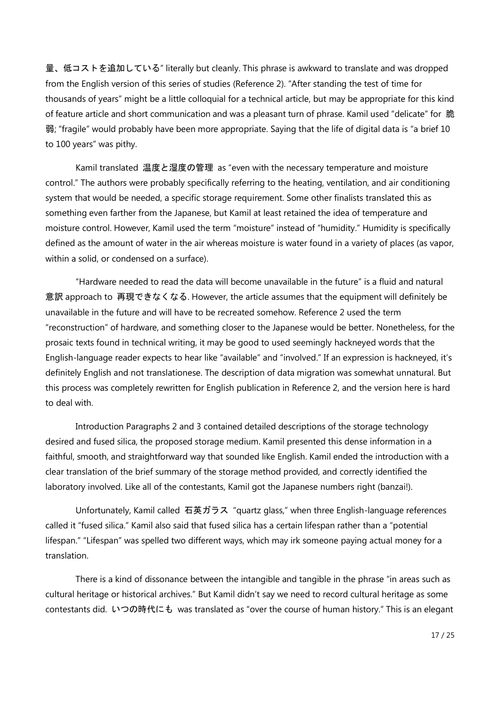量、低コストを追加している" literally but cleanly. This phrase is awkward to translate and was dropped from the English version of this series of studies (Reference 2). "After standing the test of time for thousands of years" might be a little colloquial for a technical article, but may be appropriate for this kind of feature article and short communication and was a pleasant turn of phrase. Kamil used "delicate" for 脆 弱; "fragile" would probably have been more appropriate. Saying that the life of digital data is "a brief 10 to 100 years" was pithy.

Kamil translated 温度と湿度の管理 as "even with the necessary temperature and moisture control." The authors were probably specifically referring to the heating, ventilation, and air conditioning system that would be needed, a specific storage requirement. Some other finalists translated this as something even farther from the Japanese, but Kamil at least retained the idea of temperature and moisture control. However, Kamil used the term "moisture" instead of "humidity." Humidity is specifically defined as the amount of water in the air whereas moisture is water found in a variety of places (as vapor, within a solid, or condensed on a surface).

"Hardware needed to read the data will become unavailable in the future" is a fluid and natural 意訳 approach to 再現できなくなる. However, the article assumes that the equipment will definitely be unavailable in the future and will have to be recreated somehow. Reference 2 used the term "reconstruction" of hardware, and something closer to the Japanese would be better. Nonetheless, for the prosaic texts found in technical writing, it may be good to used seemingly hackneyed words that the English-language reader expects to hear like "available" and "involved." If an expression is hackneyed, it's definitely English and not translationese. The description of data migration was somewhat unnatural. But this process was completely rewritten for English publication in Reference 2, and the version here is hard to deal with.

Introduction Paragraphs 2 and 3 contained detailed descriptions of the storage technology desired and fused silica, the proposed storage medium. Kamil presented this dense information in a faithful, smooth, and straightforward way that sounded like English. Kamil ended the introduction with a clear translation of the brief summary of the storage method provided, and correctly identified the laboratory involved. Like all of the contestants, Kamil got the Japanese numbers right (banzai!).

Unfortunately, Kamil called 石英ガラス "quartz glass," when three English-language references called it "fused silica." Kamil also said that fused silica has a certain lifespan rather than a "potential lifespan." "Lifespan" was spelled two different ways, which may irk someone paying actual money for a translation.

There is a kind of dissonance between the intangible and tangible in the phrase "in areas such as cultural heritage or historical archives." But Kamil didn't say we need to record cultural heritage as some contestants did. いつの時代にも was translated as "over the course of human history." This is an elegant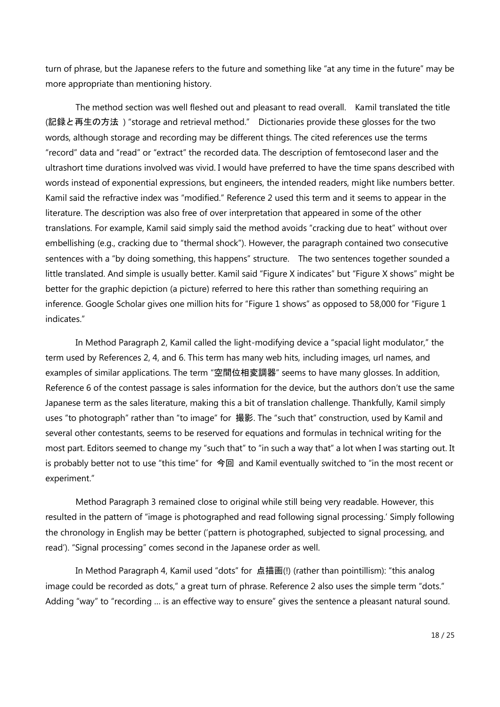turn of phrase, but the Japanese refers to the future and something like "at any time in the future" may be more appropriate than mentioning history.

The method section was well fleshed out and pleasant to read overall. Kamil translated the title (記録と再生の方法 ) "storage and retrieval method." Dictionaries provide these glosses for the two words, although storage and recording may be different things. The cited references use the terms "record" data and "read" or "extract" the recorded data. The description of femtosecond laser and the ultrashort time durations involved was vivid. I would have preferred to have the time spans described with words instead of exponential expressions, but engineers, the intended readers, might like numbers better. Kamil said the refractive index was "modified." Reference 2 used this term and it seems to appear in the literature. The description was also free of over interpretation that appeared in some of the other translations. For example, Kamil said simply said the method avoids "cracking due to heat" without over embellishing (e.g., cracking due to "thermal shock"). However, the paragraph contained two consecutive sentences with a "by doing something, this happens" structure. The two sentences together sounded a little translated. And simple is usually better. Kamil said "Figure X indicates" but "Figure X shows" might be better for the graphic depiction (a picture) referred to here this rather than something requiring an inference. Google Scholar gives one million hits for "Figure 1 shows" as opposed to 58,000 for "Figure 1 indicates."

In Method Paragraph 2, Kamil called the light-modifying device a "spacial light modulator," the term used by References 2, 4, and 6. This term has many web hits, including images, url names, and examples of similar applications. The term "空間位相変調器" seems to have many glosses. In addition, Reference 6 of the contest passage is sales information for the device, but the authors don't use the same Japanese term as the sales literature, making this a bit of translation challenge. Thankfully, Kamil simply uses "to photograph" rather than "to image" for 撮影. The "such that" construction, used by Kamil and several other contestants, seems to be reserved for equations and formulas in technical writing for the most part. Editors seemed to change my "such that" to "in such a way that" a lot when I was starting out. It is probably better not to use "this time" for 今回 and Kamil eventually switched to "in the most recent or experiment."

Method Paragraph 3 remained close to original while still being very readable. However, this resulted in the pattern of "image is photographed and read following signal processing.' Simply following the chronology in English may be better ('pattern is photographed, subjected to signal processing, and read'). "Signal processing" comes second in the Japanese order as well.

In Method Paragraph 4, Kamil used "dots" for 点描画(!) (rather than pointillism): "this analog image could be recorded as dots," a great turn of phrase. Reference 2 also uses the simple term "dots." Adding "way" to "recording … is an effective way to ensure" gives the sentence a pleasant natural sound.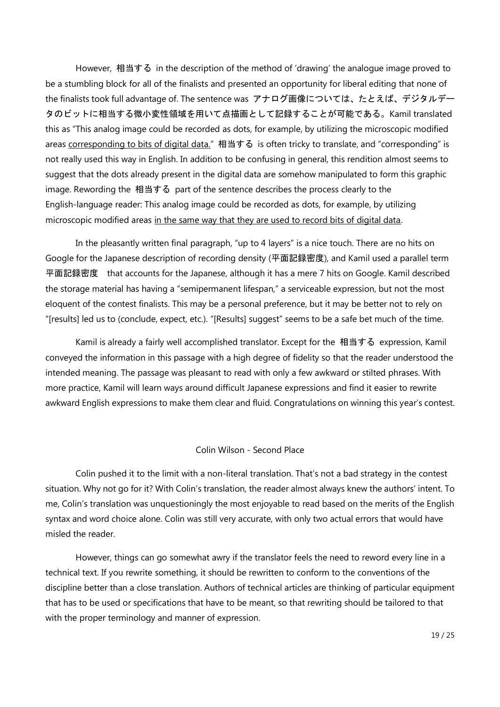However, 相当する in the description of the method of 'drawing' the analogue image proved to be a stumbling block for all of the finalists and presented an opportunity for liberal editing that none of the finalists took full advantage of. The sentence was アナログ画像については、たとえば、デジタルデー タのビットに相当する微小変性領域を用いて点描画として記録することが可能である。Kamil translated this as "This analog image could be recorded as dots, for example, by utilizing the microscopic modified areas corresponding to bits of digital data." 相当する is often tricky to translate, and "corresponding" is not really used this way in English. In addition to be confusing in general, this rendition almost seems to suggest that the dots already present in the digital data are somehow manipulated to form this graphic image. Rewording the 相当する part of the sentence describes the process clearly to the English-language reader: This analog image could be recorded as dots, for example, by utilizing microscopic modified areas in the same way that they are used to record bits of digital data.

In the pleasantly written final paragraph, "up to 4 layers" is a nice touch. There are no hits on Google for the Japanese description of recording density (平面記録密度), and Kamil used a parallel term 平面記録密度 that accounts for the Japanese, although it has a mere 7 hits on Google. Kamil described the storage material has having a "semipermanent lifespan," a serviceable expression, but not the most eloquent of the contest finalists. This may be a personal preference, but it may be better not to rely on "[results] led us to (conclude, expect, etc.). "[Results] suggest" seems to be a safe bet much of the time.

Kamil is already a fairly well accomplished translator. Except for the 相当する expression, Kamil conveyed the information in this passage with a high degree of fidelity so that the reader understood the intended meaning. The passage was pleasant to read with only a few awkward or stilted phrases. With more practice, Kamil will learn ways around difficult Japanese expressions and find it easier to rewrite awkward English expressions to make them clear and fluid. Congratulations on winning this year's contest.

### Colin Wilson - Second Place

Colin pushed it to the limit with a non-literal translation. That's not a bad strategy in the contest situation. Why not go for it? With Colin's translation, the reader almost always knew the authors' intent. To me, Colin's translation was unquestioningly the most enjoyable to read based on the merits of the English syntax and word choice alone. Colin was still very accurate, with only two actual errors that would have misled the reader.

However, things can go somewhat awry if the translator feels the need to reword every line in a technical text. If you rewrite something, it should be rewritten to conform to the conventions of the discipline better than a close translation. Authors of technical articles are thinking of particular equipment that has to be used or specifications that have to be meant, so that rewriting should be tailored to that with the proper terminology and manner of expression.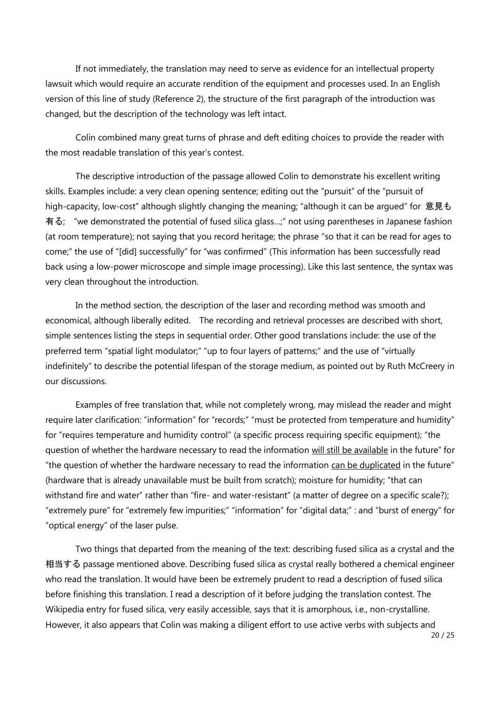If not immediately, the translation may need to serve as evidence for an intellectual property lawsuit which would require an accurate rendition of the equipment and processes used. In an English version of this line of study (Reference 2), the structure of the first paragraph of the introduction was changed, but the description of the technology was left intact.

Colin combined many great turns of phrase and deft editing choices to provide the reader with the most readable translation of this year's contest.

The descriptive introduction of the passage allowed Colin to demonstrate his excellent writing skills. Examples include: a very clean opening sentence; editing out the "pursuit" of the "pursuit of high-capacity, low-cost" although slightly changing the meaning; "although it can be argued" for 意見も 有る; "we demonstrated the potential of fused silica glass…;" not using parentheses in Japanese fashion (at room temperature); not saying that you record heritage; the phrase "so that it can be read for ages to come;" the use of "[did] successfully" for "was confirmed" (This information has been successfully read back using a low-power microscope and simple image processing). Like this last sentence, the syntax was very clean throughout the introduction.

In the method section, the description of the laser and recording method was smooth and economical, although liberally edited. The recording and retrieval processes are described with short, simple sentences listing the steps in sequential order. Other good translations include: the use of the preferred term "spatial light modulator;" "up to four layers of patterns;" and the use of "virtually indefinitely" to describe the potential lifespan of the storage medium, as pointed out by Ruth McCreery in our discussions.

Examples of free translation that, while not completely wrong, may mislead the reader and might require later clarification: "information" for "records;" "must be protected from temperature and humidity" for "requires temperature and humidity control" (a specific process requiring specific equipment); "the question of whether the hardware necessary to read the information will still be available in the future" for "the question of whether the hardware necessary to read the information can be duplicated in the future" (hardware that is already unavailable must be built from scratch); moisture for humidity; "that can withstand fire and water" rather than "fire- and water-resistant" (a matter of degree on a specific scale?); "extremely pure" for "extremely few impurities;" "information" for "digital data;" : and "burst of energy" for "optical energy" of the laser pulse.

Two things that departed from the meaning of the text: describing fused silica as a crystal and the 相当する passage mentioned above. Describing fused silica as crystal really bothered a chemical engineer who read the translation. It would have been be extremely prudent to read a description of fused silica before finishing this translation. I read a description of it before judging the translation contest. The Wikipedia entry for fused silica, very easily accessible, says that it is amorphous, i.e., non-crystalline. However, it also appears that Colin was making a diligent effort to use active verbs with subjects and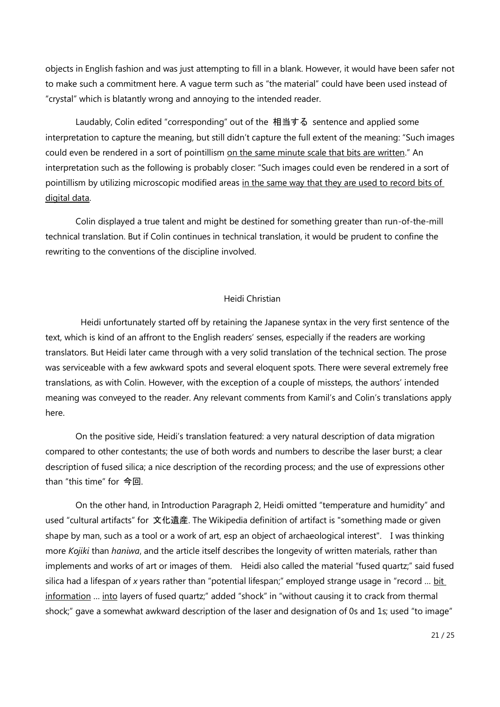objects in English fashion and was just attempting to fill in a blank. However, it would have been safer not to make such a commitment here. A vague term such as "the material" could have been used instead of "crystal" which is blatantly wrong and annoying to the intended reader.

Laudably, Colin edited "corresponding" out of the 相当する sentence and applied some interpretation to capture the meaning, but still didn't capture the full extent of the meaning: "Such images could even be rendered in a sort of pointillism on the same minute scale that bits are written." An interpretation such as the following is probably closer: "Such images could even be rendered in a sort of pointillism by utilizing microscopic modified areas in the same way that they are used to record bits of digital data.

Colin displayed a true talent and might be destined for something greater than run-of-the-mill technical translation. But if Colin continues in technical translation, it would be prudent to confine the rewriting to the conventions of the discipline involved.

### Heidi Christian

Heidi unfortunately started off by retaining the Japanese syntax in the very first sentence of the text, which is kind of an affront to the English readers' senses, especially if the readers are working translators. But Heidi later came through with a very solid translation of the technical section. The prose was serviceable with a few awkward spots and several eloquent spots. There were several extremely free translations, as with Colin. However, with the exception of a couple of missteps, the authors' intended meaning was conveyed to the reader. Any relevant comments from Kamil's and Colin's translations apply here.

On the positive side, Heidi's translation featured: a very natural description of data migration compared to other contestants; the use of both words and numbers to describe the laser burst; a clear description of fused silica; a nice description of the recording process; and the use of expressions other than "this time" for 今回.

On the other hand, in Introduction Paragraph 2, Heidi omitted "temperature and humidity" and used "cultural artifacts" for 文化遺産. The Wikipedia definition of artifact is "something made or given shape by man, such as a tool or a work of art, esp an object of archaeological interest". I was thinking more *Kojiki* than *haniwa*, and the article itself describes the longevity of written materials, rather than implements and works of art or images of them. Heidi also called the material "fused quartz;" said fused silica had a lifespan of *x* years rather than "potential lifespan;" employed strange usage in "record … bit information ... into layers of fused quartz;" added "shock" in "without causing it to crack from thermal shock;" gave a somewhat awkward description of the laser and designation of 0s and 1s; used "to image"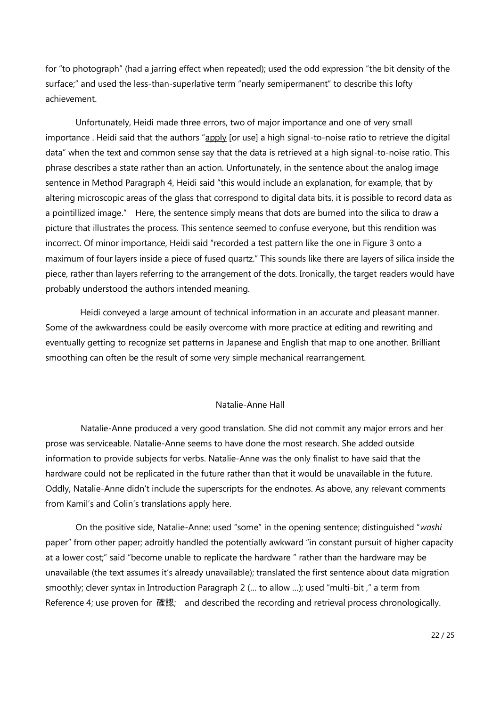for "to photograph" (had a jarring effect when repeated); used the odd expression "the bit density of the surface;" and used the less-than-superlative term "nearly semipermanent" to describe this lofty achievement.

Unfortunately, Heidi made three errors, two of major importance and one of very small importance . Heidi said that the authors "apply [or use] a high signal-to-noise ratio to retrieve the digital data" when the text and common sense say that the data is retrieved at a high signal-to-noise ratio. This phrase describes a state rather than an action. Unfortunately, in the sentence about the analog image sentence in Method Paragraph 4, Heidi said "this would include an explanation, for example, that by altering microscopic areas of the glass that correspond to digital data bits, it is possible to record data as a pointillized image." Here, the sentence simply means that dots are burned into the silica to draw a picture that illustrates the process. This sentence seemed to confuse everyone, but this rendition was incorrect. Of minor importance, Heidi said "recorded a test pattern like the one in Figure 3 onto a maximum of four layers inside a piece of fused quartz." This sounds like there are layers of silica inside the piece, rather than layers referring to the arrangement of the dots. Ironically, the target readers would have probably understood the authors intended meaning.

Heidi conveyed a large amount of technical information in an accurate and pleasant manner. Some of the awkwardness could be easily overcome with more practice at editing and rewriting and eventually getting to recognize set patterns in Japanese and English that map to one another. Brilliant smoothing can often be the result of some very simple mechanical rearrangement.

### Natalie-Anne Hall

Natalie-Anne produced a very good translation. She did not commit any major errors and her prose was serviceable. Natalie-Anne seems to have done the most research. She added outside information to provide subjects for verbs. Natalie-Anne was the only finalist to have said that the hardware could not be replicated in the future rather than that it would be unavailable in the future. Oddly, Natalie-Anne didn't include the superscripts for the endnotes. As above, any relevant comments from Kamil's and Colin's translations apply here.

On the positive side, Natalie-Anne: used "some" in the opening sentence; distinguished "*washi* paper" from other paper; adroitly handled the potentially awkward "in constant pursuit of higher capacity at a lower cost;" said "become unable to replicate the hardware " rather than the hardware may be unavailable (the text assumes it's already unavailable); translated the first sentence about data migration smoothly; clever syntax in Introduction Paragraph 2 (… to allow …); used "multi-bit ," a term from Reference 4; use proven for 確認; and described the recording and retrieval process chronologically.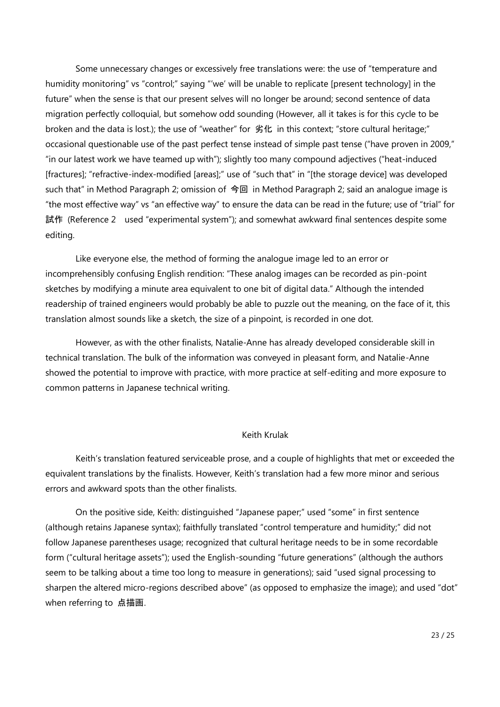Some unnecessary changes or excessively free translations were: the use of "temperature and humidity monitoring" vs "control;" saying "'we' will be unable to replicate [present technology] in the future" when the sense is that our present selves will no longer be around; second sentence of data migration perfectly colloquial, but somehow odd sounding (However, all it takes is for this cycle to be broken and the data is lost.); the use of "weather" for 劣化 in this context; "store cultural heritage;" occasional questionable use of the past perfect tense instead of simple past tense ("have proven in 2009," "in our latest work we have teamed up with"); slightly too many compound adjectives ("heat-induced [fractures]; "refractive-index-modified [areas];" use of "such that" in "[the storage device] was developed such that" in Method Paragraph 2; omission of 今回 in Method Paragraph 2; said an analogue image is "the most effective way" vs "an effective way" to ensure the data can be read in the future; use of "trial" for 試作 (Reference 2 used "experimental system"); and somewhat awkward final sentences despite some editing.

Like everyone else, the method of forming the analogue image led to an error or incomprehensibly confusing English rendition: "These analog images can be recorded as pin-point sketches by modifying a minute area equivalent to one bit of digital data." Although the intended readership of trained engineers would probably be able to puzzle out the meaning, on the face of it, this translation almost sounds like a sketch, the size of a pinpoint, is recorded in one dot.

However, as with the other finalists, Natalie-Anne has already developed considerable skill in technical translation. The bulk of the information was conveyed in pleasant form, and Natalie-Anne showed the potential to improve with practice, with more practice at self-editing and more exposure to common patterns in Japanese technical writing.

### Keith Krulak

Keith's translation featured serviceable prose, and a couple of highlights that met or exceeded the equivalent translations by the finalists. However, Keith's translation had a few more minor and serious errors and awkward spots than the other finalists.

On the positive side, Keith: distinguished "Japanese paper;" used "some" in first sentence (although retains Japanese syntax); faithfully translated "control temperature and humidity;" did not follow Japanese parentheses usage; recognized that cultural heritage needs to be in some recordable form ("cultural heritage assets"); used the English-sounding "future generations" (although the authors seem to be talking about a time too long to measure in generations); said "used signal processing to sharpen the altered micro-regions described above" (as opposed to emphasize the image); and used "dot" when referring to 点描画.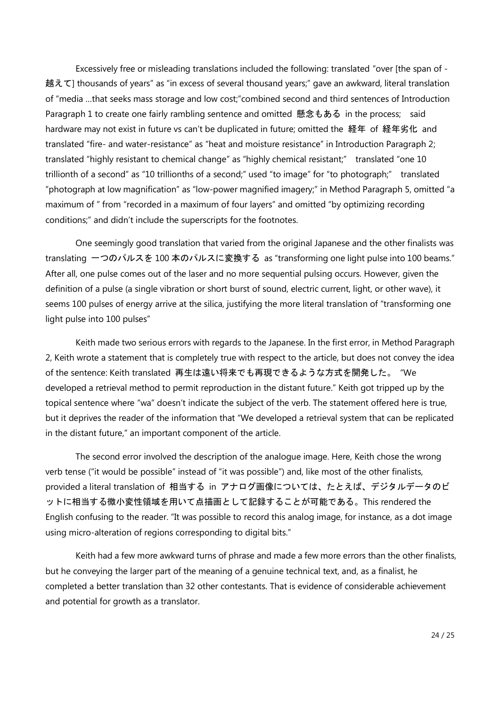Excessively free or misleading translations included the following: translated "over [the span of - 越えて] thousands of years" as "in excess of several thousand years;" gave an awkward, literal translation of "media …that seeks mass storage and low cost;"combined second and third sentences of Introduction Paragraph 1 to create one fairly rambling sentence and omitted 懸念もある in the process; said hardware may not exist in future vs can't be duplicated in future; omitted the 経年 of 経年劣化 and translated "fire- and water-resistance" as "heat and moisture resistance" in Introduction Paragraph 2; translated "highly resistant to chemical change" as "highly chemical resistant;" translated "one 10 trillionth of a second" as "10 trillionths of a second;" used "to image" for "to photograph;" translated "photograph at low magnification" as "low-power magnified imagery;" in Method Paragraph 5, omitted "a maximum of " from "recorded in a maximum of four layers" and omitted "by optimizing recording conditions;" and didn't include the superscripts for the footnotes.

One seemingly good translation that varied from the original Japanese and the other finalists was translating 一つのパルスを 100 本のパルスに変換する as "transforming one light pulse into 100 beams." After all, one pulse comes out of the laser and no more sequential pulsing occurs. However, given the definition of a pulse (a single vibration or short burst of sound, electric current, light, or other wave), it seems 100 pulses of energy arrive at the silica, justifying the more literal translation of "transforming one light pulse into 100 pulses"

Keith made two serious errors with regards to the Japanese. In the first error, in Method Paragraph 2, Keith wrote a statement that is completely true with respect to the article, but does not convey the idea of the sentence: Keith translated 再生は遠い将来でも再現できるような方式を開発した。 "We developed a retrieval method to permit reproduction in the distant future." Keith got tripped up by the topical sentence where "wa" doesn't indicate the subject of the verb. The statement offered here is true, but it deprives the reader of the information that "We developed a retrieval system that can be replicated in the distant future," an important component of the article.

The second error involved the description of the analogue image. Here, Keith chose the wrong verb tense ("it would be possible" instead of "it was possible") and, like most of the other finalists, provided a literal translation of 相当する in アナログ画像については、たとえば、デジタルデータのビ ットに相当する微小変性領域を用いて点描画として記録することが可能である。This rendered the English confusing to the reader. "It was possible to record this analog image, for instance, as a dot image using micro-alteration of regions corresponding to digital bits."

Keith had a few more awkward turns of phrase and made a few more errors than the other finalists, but he conveying the larger part of the meaning of a genuine technical text, and, as a finalist, he completed a better translation than 32 other contestants. That is evidence of considerable achievement and potential for growth as a translator.